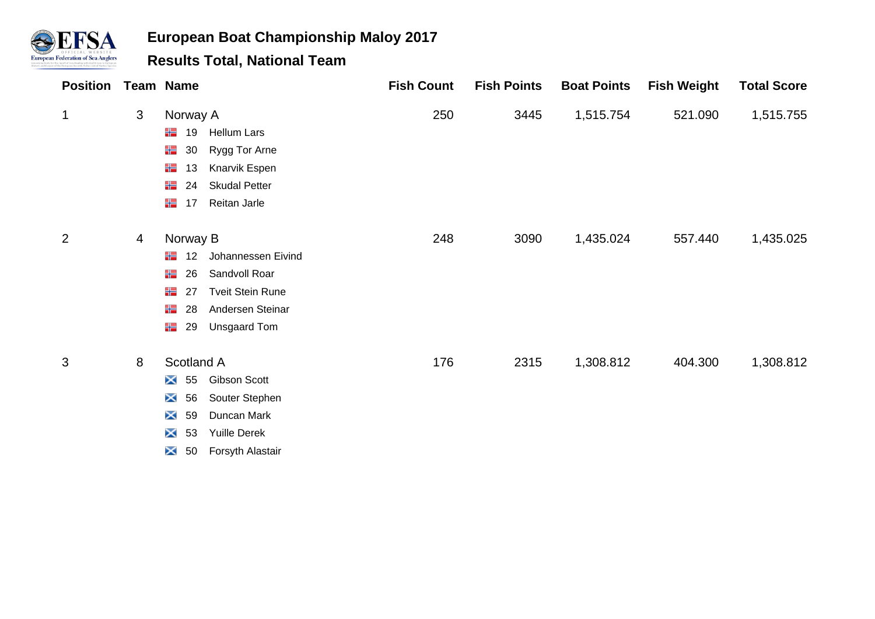

| <b>Position Team Name</b> |   |                         |                         | <b>Fish Count</b> | <b>Fish Points</b> | <b>Boat Points</b> | <b>Fish Weight</b> | <b>Total Score</b> |
|---------------------------|---|-------------------------|-------------------------|-------------------|--------------------|--------------------|--------------------|--------------------|
| 1                         | 3 | Norway A                |                         | 250               | 3445               | 1,515.754          | 521.090            | 1,515.755          |
|                           |   | ╬<br>19                 | <b>Hellum Lars</b>      |                   |                    |                    |                    |                    |
|                           |   | 卡<br>30                 | Rygg Tor Arne           |                   |                    |                    |                    |                    |
|                           |   | ₩<br>13                 | Knarvik Espen           |                   |                    |                    |                    |                    |
|                           |   | 半<br>24                 | <b>Skudal Petter</b>    |                   |                    |                    |                    |                    |
|                           |   | 半<br>17                 | Reitan Jarle            |                   |                    |                    |                    |                    |
| 2                         | 4 | Norway B                |                         | 248               | 3090               | 1,435.024          | 557.440            | 1,435.025          |
|                           |   | 22<br>$12 \overline{ }$ | Johannessen Eivind      |                   |                    |                    |                    |                    |
|                           |   | ╬<br>26                 | Sandvoll Roar           |                   |                    |                    |                    |                    |
|                           |   | ₩<br>27                 | <b>Tveit Stein Rune</b> |                   |                    |                    |                    |                    |
|                           |   | ╬<br>28                 | Andersen Steinar        |                   |                    |                    |                    |                    |
|                           |   | 半<br>29                 | Unsgaard Tom            |                   |                    |                    |                    |                    |
| 3                         | 8 | Scotland A              |                         | 176               | 2315               | 1,308.812          | 404.300            | 1,308.812          |
|                           |   | $\bm{\times}$<br>55     | Gibson Scott            |                   |                    |                    |                    |                    |
|                           |   | $\bm{\times}$<br>56     | Souter Stephen          |                   |                    |                    |                    |                    |
|                           |   | $\times$<br>59          | Duncan Mark             |                   |                    |                    |                    |                    |
|                           |   | $\bm{\times}$<br>53     | <b>Yuille Derek</b>     |                   |                    |                    |                    |                    |
|                           |   | $\bm{\times}$<br>50     | Forsyth Alastair        |                   |                    |                    |                    |                    |
|                           |   |                         |                         |                   |                    |                    |                    |                    |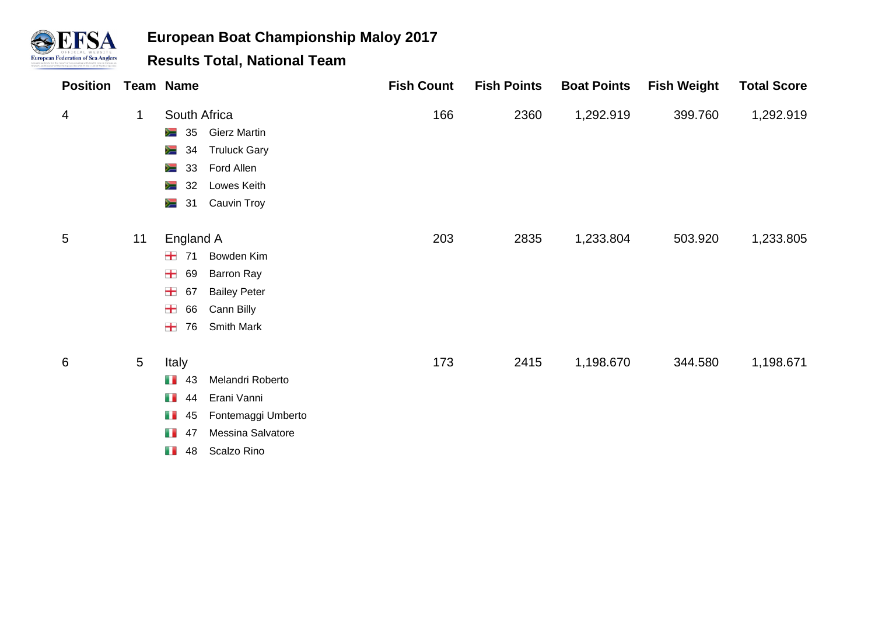

| <b>Position Team Name</b> |                 |                                                                                                                                                                     | <b>Fish Count</b> | <b>Fish Points</b> | <b>Boat Points</b> | <b>Fish Weight</b> | <b>Total Score</b> |
|---------------------------|-----------------|---------------------------------------------------------------------------------------------------------------------------------------------------------------------|-------------------|--------------------|--------------------|--------------------|--------------------|
| 4                         | 1               | South Africa<br><b>Gierz Martin</b><br>∕≡<br>35<br><b>Truluck Gary</b><br>≋<br>34<br>Ford Allen<br>∕≡<br>33<br>Lowes Keith<br>32<br>∕≡<br>Cauvin Troy<br>泻<br>31    | 166               | 2360               | 1,292.919          | 399.760            | 1,292.919          |
| 5                         | 11              | England A<br>士<br>Bowden Kim<br>71<br>士<br>69<br>Barron Ray<br>士<br><b>Bailey Peter</b><br>67<br>士<br>Cann Billy<br>66<br>士<br>Smith Mark<br>76                     | 203               | 2835               | 1,233.804          | 503.920            | 1,233.805          |
| 6                         | $5\phantom{.0}$ | Italy<br>m m<br>Melandri Roberto<br>43<br>Erani Vanni<br>m m<br>44<br>m m<br>Fontemaggi Umberto<br>45<br>Messina Salvatore<br>n n<br>47<br>Scalzo Rino<br>m m<br>48 | 173               | 2415               | 1,198.670          | 344.580            | 1,198.671          |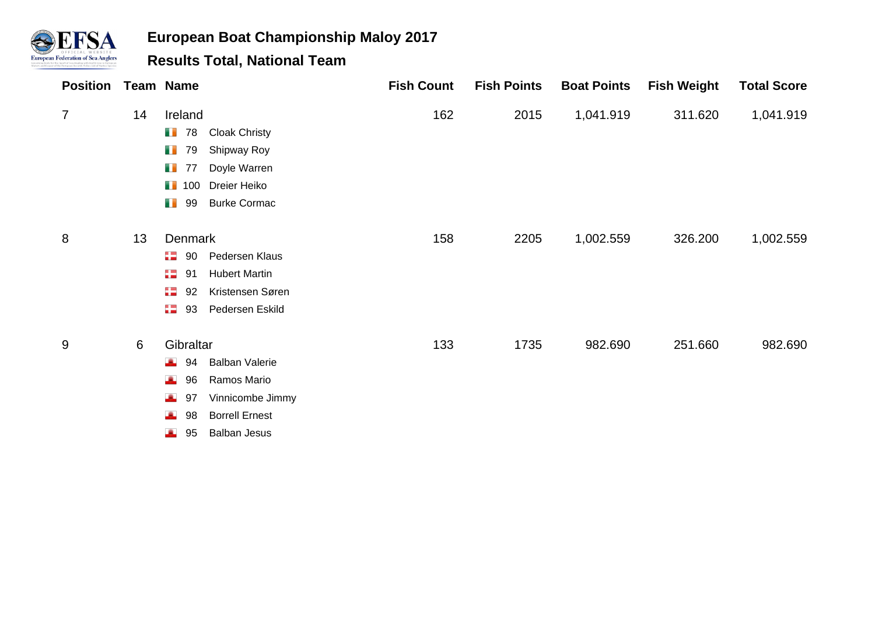

| <b>Position Team Name</b> |    |                    |                       | <b>Fish Count</b> | <b>Fish Points</b> | <b>Boat Points</b> | <b>Fish Weight</b> | <b>Total Score</b> |
|---------------------------|----|--------------------|-----------------------|-------------------|--------------------|--------------------|--------------------|--------------------|
| $\overline{7}$            | 14 | Ireland            |                       | 162               | 2015               | 1,041.919          | 311.620            | 1,041.919          |
|                           |    | m m<br>78          | <b>Cloak Christy</b>  |                   |                    |                    |                    |                    |
|                           |    | m m<br>79          | Shipway Roy           |                   |                    |                    |                    |                    |
|                           |    | m m<br>77          | Doyle Warren          |                   |                    |                    |                    |                    |
|                           |    | $\blacksquare$ 100 | Dreier Heiko          |                   |                    |                    |                    |                    |
|                           |    | m m<br>99          | <b>Burke Cormac</b>   |                   |                    |                    |                    |                    |
| 8                         | 13 | Denmark            |                       | 158               | 2205               | 1,002.559          | 326.200            | 1,002.559          |
|                           |    | 82.<br>90          | Pedersen Klaus        |                   |                    |                    |                    |                    |
|                           |    | 82<br>91           | <b>Hubert Martin</b>  |                   |                    |                    |                    |                    |
|                           |    | 92<br>92           | Kristensen Søren      |                   |                    |                    |                    |                    |
|                           |    | 82<br>93           | Pedersen Eskild       |                   |                    |                    |                    |                    |
| 9                         | 6  | Gibraltar          |                       | 133               | 1735               | 982.690            | 251.660            | 982.690            |
|                           |    | æ.<br>94           | <b>Balban Valerie</b> |                   |                    |                    |                    |                    |
|                           |    | 96<br>æ.           | Ramos Mario           |                   |                    |                    |                    |                    |
|                           |    | 97<br>æ.           | Vinnicombe Jimmy      |                   |                    |                    |                    |                    |
|                           |    | 98<br>J.           | <b>Borrell Ernest</b> |                   |                    |                    |                    |                    |
|                           |    | 95<br>A            | <b>Balban Jesus</b>   |                   |                    |                    |                    |                    |
|                           |    |                    |                       |                   |                    |                    |                    |                    |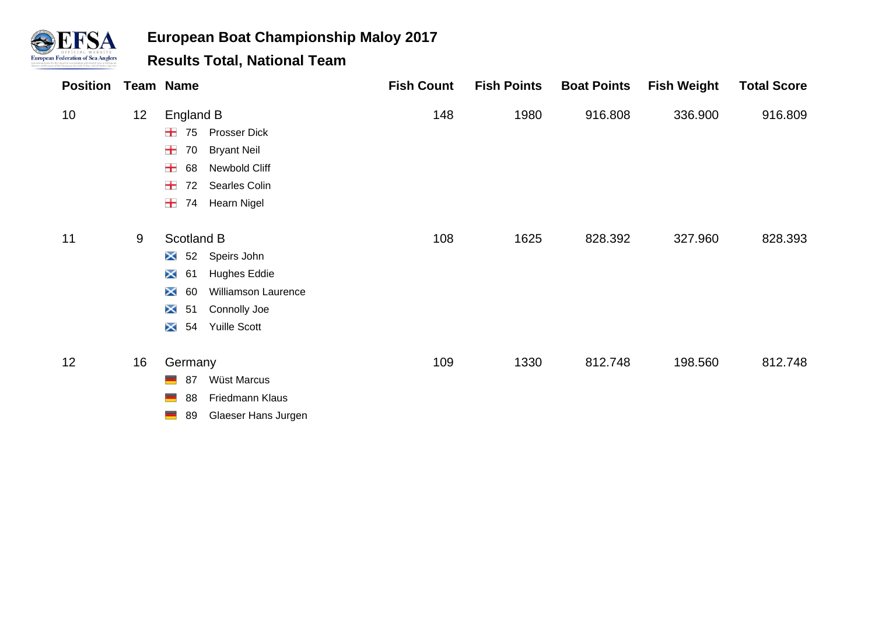

| <b>Position</b> |    | <b>Team Name</b>                           | <b>Fish Count</b> | <b>Fish Points</b> | <b>Boat Points</b> | <b>Fish Weight</b> | <b>Total Score</b> |
|-----------------|----|--------------------------------------------|-------------------|--------------------|--------------------|--------------------|--------------------|
| 10 <sup>°</sup> | 12 | England B                                  | 148               | 1980               | 916.808            | 336.900            | 916.809            |
|                 |    | Prosser Dick<br>±<br>75                    |                   |                    |                    |                    |                    |
|                 |    | ₩.<br>70<br><b>Bryant Neil</b>             |                   |                    |                    |                    |                    |
|                 |    | Newbold Cliff<br>₩.<br>68                  |                   |                    |                    |                    |                    |
|                 |    | ₩.<br>Searles Colin<br>72                  |                   |                    |                    |                    |                    |
|                 |    | +<br>Hearn Nigel<br>74                     |                   |                    |                    |                    |                    |
| 11              | 9  | Scotland B                                 | 108               | 1625               | 828.392            | 327.960            | 828.393            |
|                 |    | Speirs John<br>$\bm{\times}$<br>52         |                   |                    |                    |                    |                    |
|                 |    | $\bm{\times}$<br><b>Hughes Eddie</b><br>61 |                   |                    |                    |                    |                    |
|                 |    | <b>Williamson Laurence</b><br>×<br>60      |                   |                    |                    |                    |                    |
|                 |    | 51<br>Connolly Joe<br>$\bm{\times}$        |                   |                    |                    |                    |                    |
|                 |    | <b>Yuille Scott</b><br>×<br>54             |                   |                    |                    |                    |                    |
| 12              | 16 | Germany                                    | 109               | 1330               | 812.748            | 198.560            | 812.748            |
|                 |    | Wüst Marcus<br>━<br>87                     |                   |                    |                    |                    |                    |
|                 |    | Friedmann Klaus<br>▀<br>88                 |                   |                    |                    |                    |                    |
|                 |    | Glaeser Hans Jurgen<br>▀<br>89             |                   |                    |                    |                    |                    |